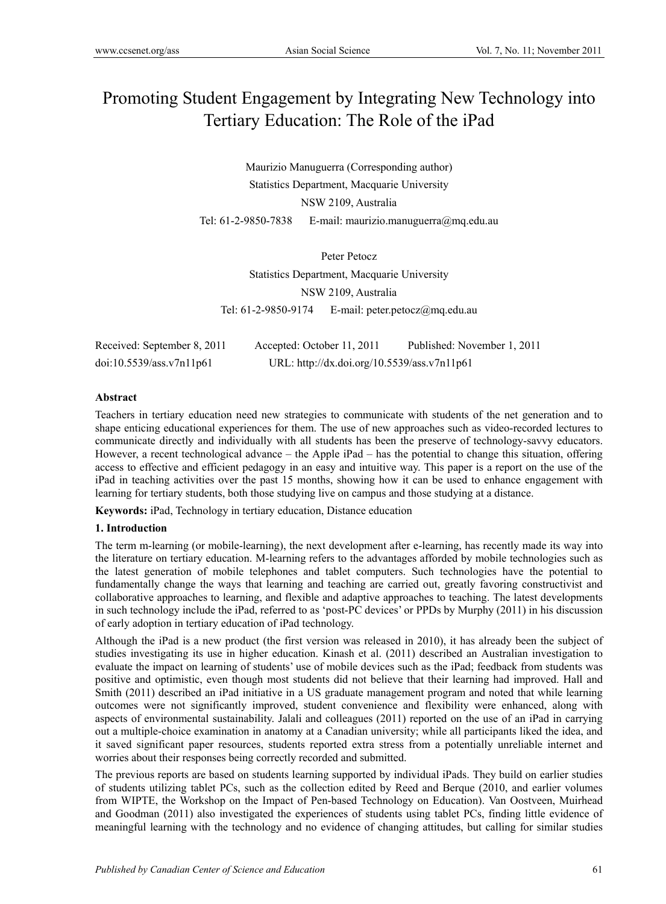# Promoting Student Engagement by Integrating New Technology into Tertiary Education: The Role of the iPad

Maurizio Manuguerra (Corresponding author) Statistics Department, Macquarie University NSW 2109, Australia Tel: 61-2-9850-7838 E-mail: maurizio.manuguerra@mq.edu.au

Peter Petocz Statistics Department, Macquarie University NSW 2109, Australia Tel:  $61-2-9850-9174$  E-mail: peter.petocz@mq.edu.au

| Received: September 8, 2011 | Accepted: October 11, 2011                  | Published: November 1, 2011 |
|-----------------------------|---------------------------------------------|-----------------------------|
| doi:10.5539/ass.v7n11p61    | URL: http://dx.doi.org/10.5539/ass.v7n11p61 |                             |

# **Abstract**

Teachers in tertiary education need new strategies to communicate with students of the net generation and to shape enticing educational experiences for them. The use of new approaches such as video-recorded lectures to communicate directly and individually with all students has been the preserve of technology-savvy educators. However, a recent technological advance – the Apple iPad – has the potential to change this situation, offering access to effective and efficient pedagogy in an easy and intuitive way. This paper is a report on the use of the iPad in teaching activities over the past 15 months, showing how it can be used to enhance engagement with learning for tertiary students, both those studying live on campus and those studying at a distance.

**Keywords:** iPad, Technology in tertiary education, Distance education

# **1. Introduction**

The term m-learning (or mobile-learning), the next development after e-learning, has recently made its way into the literature on tertiary education. M-learning refers to the advantages afforded by mobile technologies such as the latest generation of mobile telephones and tablet computers. Such technologies have the potential to fundamentally change the ways that learning and teaching are carried out, greatly favoring constructivist and collaborative approaches to learning, and flexible and adaptive approaches to teaching. The latest developments in such technology include the iPad, referred to as 'post-PC devices' or PPDs by Murphy (2011) in his discussion of early adoption in tertiary education of iPad technology.

Although the iPad is a new product (the first version was released in 2010), it has already been the subject of studies investigating its use in higher education. Kinash et al. (2011) described an Australian investigation to evaluate the impact on learning of students' use of mobile devices such as the iPad; feedback from students was positive and optimistic, even though most students did not believe that their learning had improved. Hall and Smith (2011) described an iPad initiative in a US graduate management program and noted that while learning outcomes were not significantly improved, student convenience and flexibility were enhanced, along with aspects of environmental sustainability. Jalali and colleagues (2011) reported on the use of an iPad in carrying out a multiple-choice examination in anatomy at a Canadian university; while all participants liked the idea, and it saved significant paper resources, students reported extra stress from a potentially unreliable internet and worries about their responses being correctly recorded and submitted.

The previous reports are based on students learning supported by individual iPads. They build on earlier studies of students utilizing tablet PCs, such as the collection edited by Reed and Berque (2010, and earlier volumes from WIPTE, the Workshop on the Impact of Pen-based Technology on Education). Van Oostveen, Muirhead and Goodman (2011) also investigated the experiences of students using tablet PCs, finding little evidence of meaningful learning with the technology and no evidence of changing attitudes, but calling for similar studies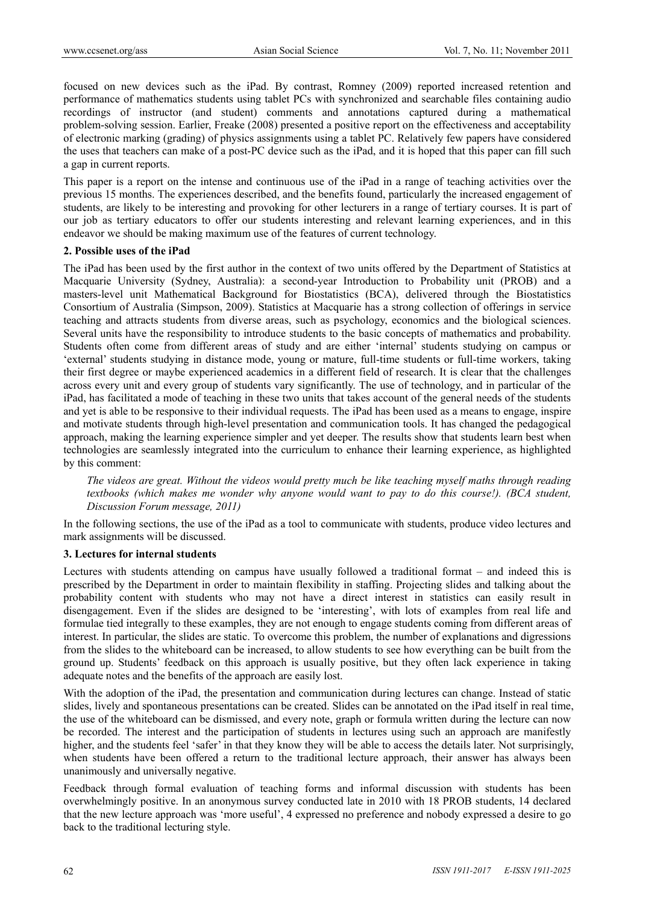focused on new devices such as the iPad. By contrast, Romney (2009) reported increased retention and performance of mathematics students using tablet PCs with synchronized and searchable files containing audio recordings of instructor (and student) comments and annotations captured during a mathematical problem-solving session. Earlier, Freake (2008) presented a positive report on the effectiveness and acceptability of electronic marking (grading) of physics assignments using a tablet PC. Relatively few papers have considered the uses that teachers can make of a post-PC device such as the iPad, and it is hoped that this paper can fill such a gap in current reports.

This paper is a report on the intense and continuous use of the iPad in a range of teaching activities over the previous 15 months. The experiences described, and the benefits found, particularly the increased engagement of students, are likely to be interesting and provoking for other lecturers in a range of tertiary courses. It is part of our job as tertiary educators to offer our students interesting and relevant learning experiences, and in this endeavor we should be making maximum use of the features of current technology.

## **2. Possible uses of the iPad**

The iPad has been used by the first author in the context of two units offered by the Department of Statistics at Macquarie University (Sydney, Australia): a second-year Introduction to Probability unit (PROB) and a masters-level unit Mathematical Background for Biostatistics (BCA), delivered through the Biostatistics Consortium of Australia (Simpson, 2009). Statistics at Macquarie has a strong collection of offerings in service teaching and attracts students from diverse areas, such as psychology, economics and the biological sciences. Several units have the responsibility to introduce students to the basic concepts of mathematics and probability. Students often come from different areas of study and are either 'internal' students studying on campus or 'external' students studying in distance mode, young or mature, full-time students or full-time workers, taking their first degree or maybe experienced academics in a different field of research. It is clear that the challenges across every unit and every group of students vary significantly. The use of technology, and in particular of the iPad, has facilitated a mode of teaching in these two units that takes account of the general needs of the students and yet is able to be responsive to their individual requests. The iPad has been used as a means to engage, inspire and motivate students through high-level presentation and communication tools. It has changed the pedagogical approach, making the learning experience simpler and yet deeper. The results show that students learn best when technologies are seamlessly integrated into the curriculum to enhance their learning experience, as highlighted by this comment:

*The videos are great. Without the videos would pretty much be like teaching myself maths through reading textbooks (which makes me wonder why anyone would want to pay to do this course!). (BCA student, Discussion Forum message, 2011)* 

In the following sections, the use of the iPad as a tool to communicate with students, produce video lectures and mark assignments will be discussed.

### **3. Lectures for internal students**

Lectures with students attending on campus have usually followed a traditional format – and indeed this is prescribed by the Department in order to maintain flexibility in staffing. Projecting slides and talking about the probability content with students who may not have a direct interest in statistics can easily result in disengagement. Even if the slides are designed to be 'interesting', with lots of examples from real life and formulae tied integrally to these examples, they are not enough to engage students coming from different areas of interest. In particular, the slides are static. To overcome this problem, the number of explanations and digressions from the slides to the whiteboard can be increased, to allow students to see how everything can be built from the ground up. Students' feedback on this approach is usually positive, but they often lack experience in taking adequate notes and the benefits of the approach are easily lost.

With the adoption of the iPad, the presentation and communication during lectures can change. Instead of static slides, lively and spontaneous presentations can be created. Slides can be annotated on the iPad itself in real time, the use of the whiteboard can be dismissed, and every note, graph or formula written during the lecture can now be recorded. The interest and the participation of students in lectures using such an approach are manifestly higher, and the students feel 'safer' in that they know they will be able to access the details later. Not surprisingly, when students have been offered a return to the traditional lecture approach, their answer has always been unanimously and universally negative.

Feedback through formal evaluation of teaching forms and informal discussion with students has been overwhelmingly positive. In an anonymous survey conducted late in 2010 with 18 PROB students, 14 declared that the new lecture approach was 'more useful', 4 expressed no preference and nobody expressed a desire to go back to the traditional lecturing style.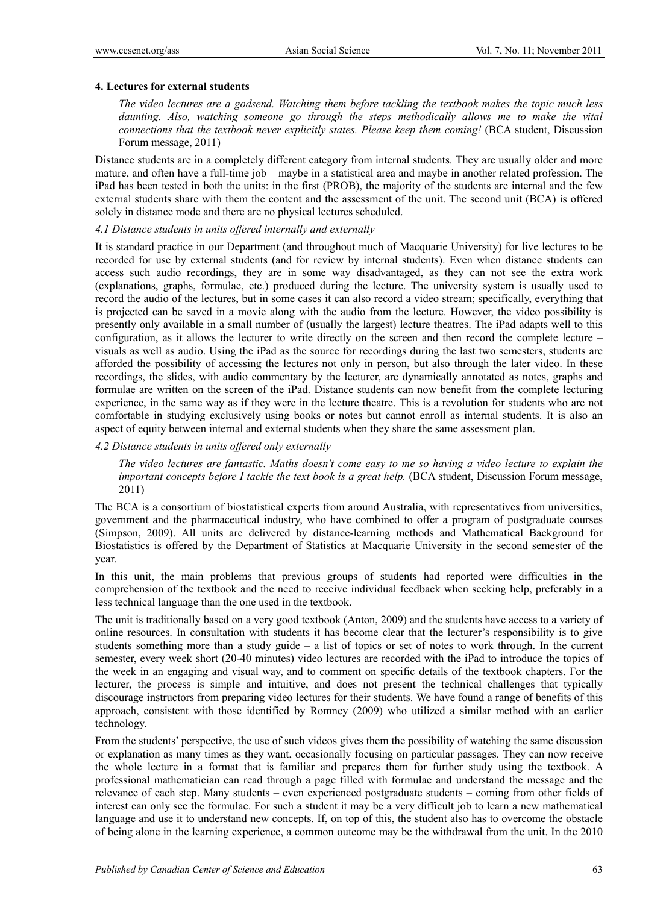#### **4. Lectures for external students**

*The video lectures are a godsend. Watching them before tackling the textbook makes the topic much less daunting. Also, watching someone go through the steps methodically allows me to make the vital connections that the textbook never explicitly states. Please keep them coming!* (BCA student, Discussion Forum message, 2011)

Distance students are in a completely different category from internal students. They are usually older and more mature, and often have a full-time job – maybe in a statistical area and maybe in another related profession. The iPad has been tested in both the units: in the first (PROB), the majority of the students are internal and the few external students share with them the content and the assessment of the unit. The second unit (BCA) is offered solely in distance mode and there are no physical lectures scheduled.

### *4.1 Distance students in units offered internally and externally*

It is standard practice in our Department (and throughout much of Macquarie University) for live lectures to be recorded for use by external students (and for review by internal students). Even when distance students can access such audio recordings, they are in some way disadvantaged, as they can not see the extra work (explanations, graphs, formulae, etc.) produced during the lecture. The university system is usually used to record the audio of the lectures, but in some cases it can also record a video stream; specifically, everything that is projected can be saved in a movie along with the audio from the lecture. However, the video possibility is presently only available in a small number of (usually the largest) lecture theatres. The iPad adapts well to this configuration, as it allows the lecturer to write directly on the screen and then record the complete lecture – visuals as well as audio. Using the iPad as the source for recordings during the last two semesters, students are afforded the possibility of accessing the lectures not only in person, but also through the later video. In these recordings, the slides, with audio commentary by the lecturer, are dynamically annotated as notes, graphs and formulae are written on the screen of the iPad. Distance students can now benefit from the complete lecturing experience, in the same way as if they were in the lecture theatre. This is a revolution for students who are not comfortable in studying exclusively using books or notes but cannot enroll as internal students. It is also an aspect of equity between internal and external students when they share the same assessment plan.

## *4.2 Distance students in units offered only externally*

*The video lectures are fantastic. Maths doesn't come easy to me so having a video lecture to explain the important concepts before I tackle the text book is a great help.* (BCA student, Discussion Forum message, 2011)

The BCA is a consortium of biostatistical experts from around Australia, with representatives from universities, government and the pharmaceutical industry, who have combined to offer a program of postgraduate courses (Simpson, 2009). All units are delivered by distance-learning methods and Mathematical Background for Biostatistics is offered by the Department of Statistics at Macquarie University in the second semester of the year.

In this unit, the main problems that previous groups of students had reported were difficulties in the comprehension of the textbook and the need to receive individual feedback when seeking help, preferably in a less technical language than the one used in the textbook.

The unit is traditionally based on a very good textbook (Anton, 2009) and the students have access to a variety of online resources. In consultation with students it has become clear that the lecturer's responsibility is to give students something more than a study guide – a list of topics or set of notes to work through. In the current semester, every week short (20-40 minutes) video lectures are recorded with the iPad to introduce the topics of the week in an engaging and visual way, and to comment on specific details of the textbook chapters. For the lecturer, the process is simple and intuitive, and does not present the technical challenges that typically discourage instructors from preparing video lectures for their students. We have found a range of benefits of this approach, consistent with those identified by Romney (2009) who utilized a similar method with an earlier technology.

From the students' perspective, the use of such videos gives them the possibility of watching the same discussion or explanation as many times as they want, occasionally focusing on particular passages. They can now receive the whole lecture in a format that is familiar and prepares them for further study using the textbook. A professional mathematician can read through a page filled with formulae and understand the message and the relevance of each step. Many students – even experienced postgraduate students – coming from other fields of interest can only see the formulae. For such a student it may be a very difficult job to learn a new mathematical language and use it to understand new concepts. If, on top of this, the student also has to overcome the obstacle of being alone in the learning experience, a common outcome may be the withdrawal from the unit. In the 2010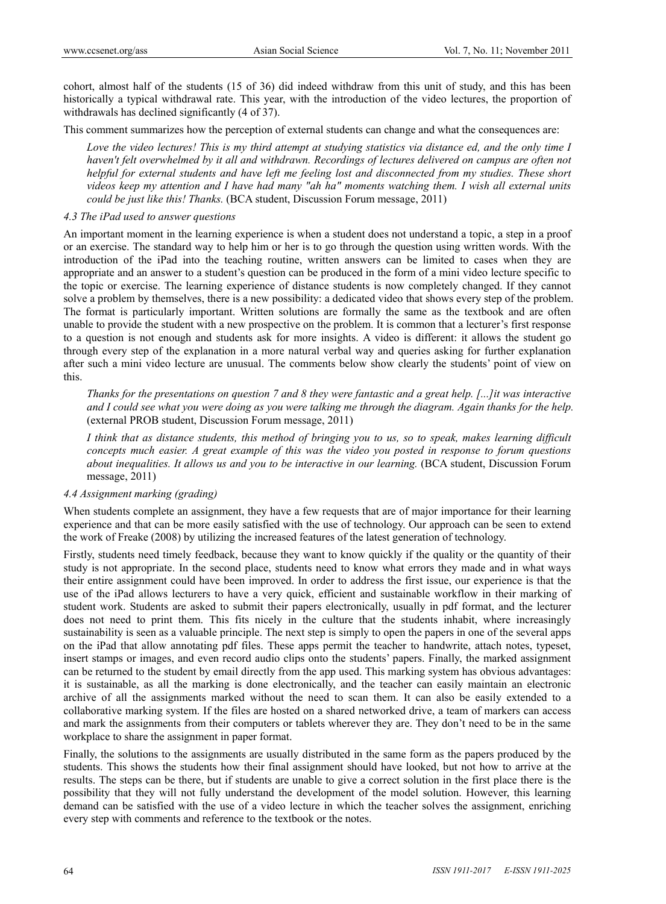cohort, almost half of the students (15 of 36) did indeed withdraw from this unit of study, and this has been historically a typical withdrawal rate. This year, with the introduction of the video lectures, the proportion of withdrawals has declined significantly (4 of 37).

This comment summarizes how the perception of external students can change and what the consequences are:

*Love the video lectures! This is my third attempt at studying statistics via distance ed, and the only time I haven't felt overwhelmed by it all and withdrawn. Recordings of lectures delivered on campus are often not helpful for external students and have left me feeling lost and disconnected from my studies. These short videos keep my attention and I have had many "ah ha" moments watching them. I wish all external units could be just like this! Thanks.* (BCA student, Discussion Forum message, 2011)

#### *4.3 The iPad used to answer questions*

An important moment in the learning experience is when a student does not understand a topic, a step in a proof or an exercise. The standard way to help him or her is to go through the question using written words. With the introduction of the iPad into the teaching routine, written answers can be limited to cases when they are appropriate and an answer to a student's question can be produced in the form of a mini video lecture specific to the topic or exercise. The learning experience of distance students is now completely changed. If they cannot solve a problem by themselves, there is a new possibility: a dedicated video that shows every step of the problem. The format is particularly important. Written solutions are formally the same as the textbook and are often unable to provide the student with a new prospective on the problem. It is common that a lecturer's first response to a question is not enough and students ask for more insights. A video is different: it allows the student go through every step of the explanation in a more natural verbal way and queries asking for further explanation after such a mini video lecture are unusual. The comments below show clearly the students' point of view on this.

*Thanks for the presentations on question 7 and 8 they were fantastic and a great help. [...]it was interactive and I could see what you were doing as you were talking me through the diagram. Again thanks for the help.*  (external PROB student, Discussion Forum message, 2011)

*I think that as distance students, this method of bringing you to us, so to speak, makes learning difficult concepts much easier. A great example of this was the video you posted in response to forum questions about inequalities. It allows us and you to be interactive in our learning.* (BCA student, Discussion Forum message, 2011)

### *4.4 Assignment marking (grading)*

When students complete an assignment, they have a few requests that are of major importance for their learning experience and that can be more easily satisfied with the use of technology. Our approach can be seen to extend the work of Freake (2008) by utilizing the increased features of the latest generation of technology.

Firstly, students need timely feedback, because they want to know quickly if the quality or the quantity of their study is not appropriate. In the second place, students need to know what errors they made and in what ways their entire assignment could have been improved. In order to address the first issue, our experience is that the use of the iPad allows lecturers to have a very quick, efficient and sustainable workflow in their marking of student work. Students are asked to submit their papers electronically, usually in pdf format, and the lecturer does not need to print them. This fits nicely in the culture that the students inhabit, where increasingly sustainability is seen as a valuable principle. The next step is simply to open the papers in one of the several apps on the iPad that allow annotating pdf files. These apps permit the teacher to handwrite, attach notes, typeset, insert stamps or images, and even record audio clips onto the students' papers. Finally, the marked assignment can be returned to the student by email directly from the app used. This marking system has obvious advantages: it is sustainable, as all the marking is done electronically, and the teacher can easily maintain an electronic archive of all the assignments marked without the need to scan them. It can also be easily extended to a collaborative marking system. If the files are hosted on a shared networked drive, a team of markers can access and mark the assignments from their computers or tablets wherever they are. They don't need to be in the same workplace to share the assignment in paper format.

Finally, the solutions to the assignments are usually distributed in the same form as the papers produced by the students. This shows the students how their final assignment should have looked, but not how to arrive at the results. The steps can be there, but if students are unable to give a correct solution in the first place there is the possibility that they will not fully understand the development of the model solution. However, this learning demand can be satisfied with the use of a video lecture in which the teacher solves the assignment, enriching every step with comments and reference to the textbook or the notes.